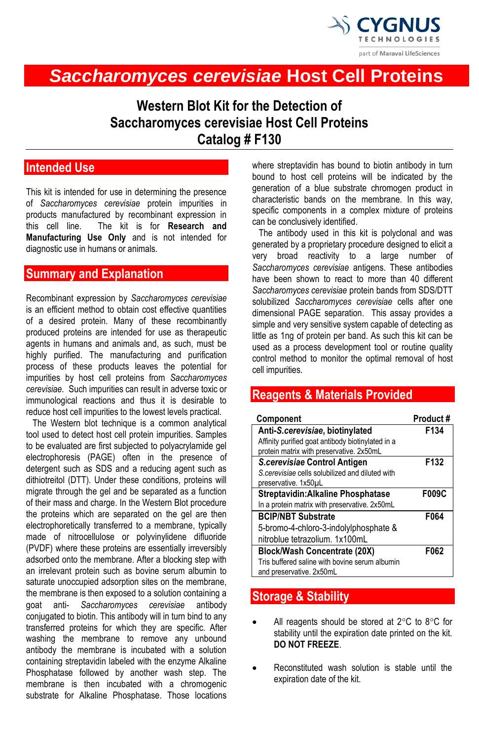

# *Saccharomyces cerevisiae* **Host Cell Proteins**

## **Western Blot Kit for the Detection of Saccharomyces cerevisiae Host Cell Proteins Catalog # F130**

#### **Intended Use**

This kit is intended for use in determining the presence of *Saccharomyces cerevisiae* protein impurities in products manufactured by recombinant expression in this cell line. The kit is for **Research and Manufacturing Use Only** and is not intended for diagnostic use in humans or animals.

#### **Summary and Explanation**

Recombinant expression by *Saccharomyces cerevisiae* is an efficient method to obtain cost effective quantities of a desired protein. Many of these recombinantly produced proteins are intended for use as therapeutic agents in humans and animals and, as such, must be highly purified. The manufacturing and purification process of these products leaves the potential for impurities by host cell proteins from *Saccharomyces cerevisiae.* Such impurities can result in adverse toxic or immunological reactions and thus it is desirable to reduce host cell impurities to the lowest levels practical.

 The Western blot technique is a common analytical tool used to detect host cell protein impurities. Samples to be evaluated are first subjected to polyacrylamide gel electrophoresis (PAGE) often in the presence of detergent such as SDS and a reducing agent such as dithiotreitol (DTT). Under these conditions, proteins will migrate through the gel and be separated as a function of their mass and charge. In the Western Blot procedure the proteins which are separated on the gel are then electrophoretically transferred to a membrane, typically made of nitrocellulose or polyvinylidene difluoride (PVDF) where these proteins are essentially irreversibly adsorbed onto the membrane. After a blocking step with an irrelevant protein such as bovine serum albumin to saturate unoccupied adsorption sites on the membrane, the membrane is then exposed to a solution containing a goat anti- *Saccharomyces cerevisiae* antibody conjugated to biotin. This antibody will in turn bind to any transferred proteins for which they are specific. After washing the membrane to remove any unbound antibody the membrane is incubated with a solution containing streptavidin labeled with the enzyme Alkaline Phosphatase followed by another wash step. The membrane is then incubated with a chromogenic substrate for Alkaline Phosphatase. Those locations

where streptavidin has bound to biotin antibody in turn bound to host cell proteins will be indicated by the generation of a blue substrate chromogen product in characteristic bands on the membrane. In this way, specific components in a complex mixture of proteins can be conclusively identified.

 The antibody used in this kit is polyclonal and was generated by a proprietary procedure designed to elicit a very broad reactivity to a large number of *Saccharomyces cerevisiae* antigens. These antibodies have been shown to react to more than 40 different *Saccharomyces cerevisiae* protein bands from SDS/DTT solubilized *Saccharomyces cerevisiae* cells after one dimensional PAGE separation. This assay provides a simple and very sensitive system capable of detecting as little as 1ng of protein per band. As such this kit can be used as a process development tool or routine quality control method to monitor the optimal removal of host cell impurities.

## **Reagents & Materials Provided**

| Component                                         | Product#         |
|---------------------------------------------------|------------------|
| Anti-S.cerevisiae, biotinylated                   | F <sub>134</sub> |
| Affinity purified goat antibody biotinylated in a |                  |
| protein matrix with preservative. 2x50mL          |                  |
| S.cerevisiae Control Antigen                      | F132             |
| S.cerevisiae cells solubilized and diluted with   |                  |
| preservative. 1x50uL                              |                  |
| Streptavidin: Alkaline Phosphatase                | F009C            |
| In a protein matrix with preservative. 2x50mL     |                  |
| <b>BCIP/NBT Substrate</b>                         | F064             |
| 5-bromo-4-chloro-3-indolylphosphate &             |                  |
| nitroblue tetrazolium. 1x100mL                    |                  |
| <b>Block/Wash Concentrate (20X)</b>               | F062             |
| Tris buffered saline with bovine serum albumin    |                  |
| and preservative, 2x50mL                          |                  |

## **Storage & Stability**

- All reagents should be stored at  $2^{\circ}$ C to  $8^{\circ}$ C for stability until the expiration date printed on the kit. **DO NOT FREEZE**.
- Reconstituted wash solution is stable until the expiration date of the kit.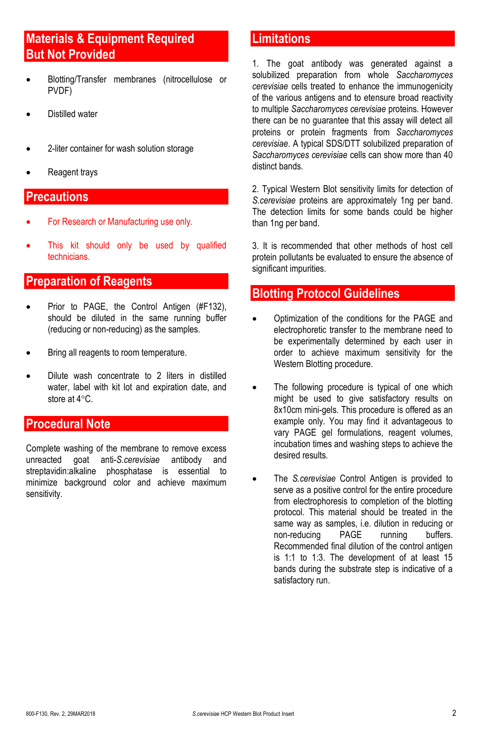## **Materials & Equipment Required But Not Provided**

- Blotting/Transfer membranes (nitrocellulose or PVDF)
- Distilled water
- 2-liter container for wash solution storage
- Reagent trays

#### **Precautions**

- For Research or Manufacturing use only.
- This kit should only be used by qualified technicians.

#### **Preparation of Reagents**

- Prior to PAGE, the Control Antigen (#F132), should be diluted in the same running buffer (reducing or non-reducing) as the samples.
- Bring all reagents to room temperature.
- Dilute wash concentrate to 2 liters in distilled water, label with kit lot and expiration date, and store at 4°C.

#### **Procedural Note**

Complete washing of the membrane to remove excess unreacted goat anti-*S.cerevisiae* antibody and streptavidin:alkaline phosphatase is essential to minimize background color and achieve maximum sensitivity.

### **Limitations**

1. The goat antibody was generated against a solubilized preparation from whole *Saccharomyces cerevisiae* cells treated to enhance the immunogenicity of the various antigens and to etensure broad reactivity to multiple *Saccharomyces cerevisiae* proteins. However there can be no guarantee that this assay will detect all proteins or protein fragments from *Saccharomyces cerevisiae*. A typical SDS/DTT solubilized preparation of *Saccharomyces cerevisiae* cells can show more than 40 distinct bands.

2. Typical Western Blot sensitivity limits for detection of *S.cerevisiae* proteins are approximately 1ng per band. The detection limits for some bands could be higher than 1ng per band.

3. It is recommended that other methods of host cell protein pollutants be evaluated to ensure the absence of significant impurities.

#### **Blotting Protocol Guidelines**

- Optimization of the conditions for the PAGE and electrophoretic transfer to the membrane need to be experimentally determined by each user in order to achieve maximum sensitivity for the Western Blotting procedure.
- The following procedure is typical of one which might be used to give satisfactory results on 8x10cm mini-gels. This procedure is offered as an example only. You may find it advantageous to vary PAGE gel formulations, reagent volumes, incubation times and washing steps to achieve the desired results.
- The *S.cerevisiae* Control Antigen is provided to serve as a positive control for the entire procedure from electrophoresis to completion of the blotting protocol. This material should be treated in the same way as samples, i.e. dilution in reducing or non-reducing PAGE running buffers. Recommended final dilution of the control antigen is 1:1 to 1:3. The development of at least 15 bands during the substrate step is indicative of a satisfactory run.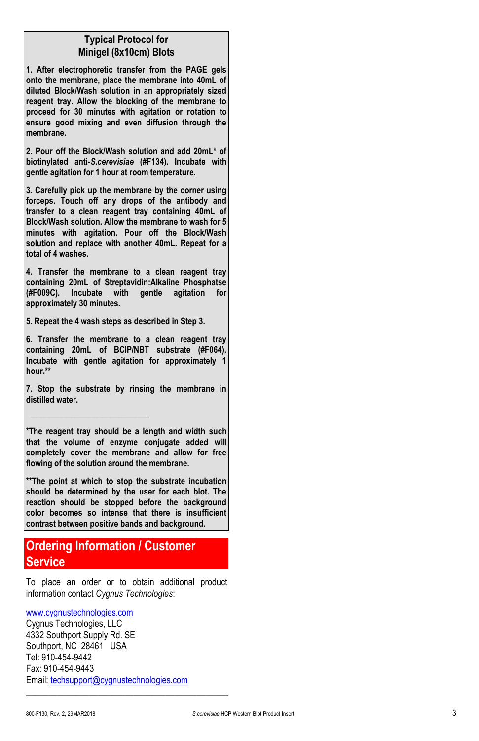#### **Typical Protocol for Minigel (8x10cm) Blots**

**1. After electrophoretic transfer from the PAGE gels onto the membrane, place the membrane into 40mL of diluted Block/Wash solution in an appropriately sized reagent tray. Allow the blocking of the membrane to proceed for 30 minutes with agitation or rotation to ensure good mixing and even diffusion through the membrane.**

**2. Pour off the Block/Wash solution and add 20mL\* of biotinylated anti -***S.cerevisiae* **(#F134). Incubate with gentle agitation for 1 hour at room temperature.**

**3. Carefully pick up the membrane by the corner using forceps. Touch off any drops of the antibody and transfer to a clean reagent tray containing 40mL of Block/Wash solution. Allow the membrane to wash for 5 minutes with agitation. Pour off the Block/Wash solution and replace with another 40mL. Repeat for a total of 4 washes.**

**4. Transfer the membrane to a clean reagent tray containing 20mL of Streptavidin:Alkaline Phosphatse (#F009C). Incubate with gentle agitation for approximately 30 minutes.**

**5. Repeat the 4 wash steps as described in Step 3.**

**6. Transfer the membrane to a clean reagent tray containing 20mL of BCIP/NBT substrate (#F064). Incubate with gentle agitation for approximately 1 hour.\*\***

**7. Stop the substrate by rinsing the membrane in distilled water.**

 **\_\_\_\_\_\_\_\_\_\_\_\_\_\_\_\_\_\_\_\_\_\_\_\_\_\_\_\_\_\_\_\_\_\_\_\_\_\_\_\_\_\_\_**

**\*The reagent tray should be a length and width such that the volume of enzyme conjugate added will completely cover the membrane and allow for free flowing of the solution around the membrane.**

**\*\*The point at which to stop the substrate incubation should be determined by the user for each blot. The reaction should be stopped before the background color becomes so intense that there is insufficient contrast between positive bands and background.**

#### **Ordering Information / Customer Service**

To place an order or to obtain additional product information contact *Cygnus Technologies*:

**\_\_\_\_\_\_\_\_\_\_\_\_\_\_\_\_\_\_\_\_\_\_\_\_\_\_\_\_\_\_\_\_\_\_\_\_\_\_\_\_\_\_\_\_\_**

#### [www.cygnustechnologies.com](http://www.cygnustechnologies.com/)

Cygnus Technologies, LLC 4332 Southport Supply Rd. SE Southport, NC 28461 USA Tel: 910 -454 -9442 Fax: 910 -454 -9443 Email[: techsupport@cygnustechnologies.com](mailto:techsupport@cygnustechnologies.com)